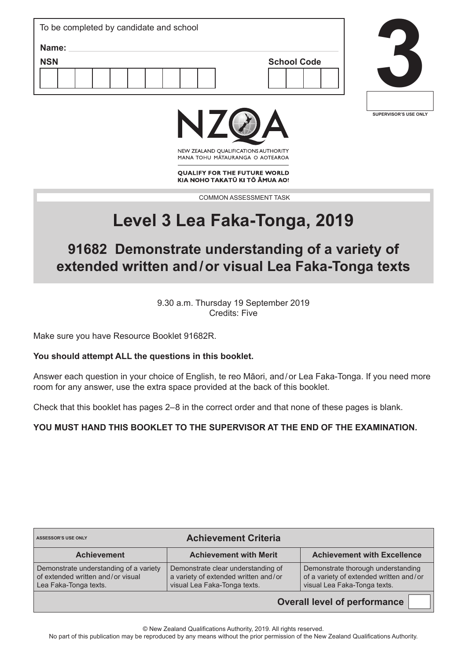| To be completed by candidate and school   |  |
|-------------------------------------------|--|
| Name:<br><b>NSN</b><br><b>School Code</b> |  |
|                                           |  |
|                                           |  |





NEW ZEALAND OUALIFICATIONS AUTHORITY MANA TOHU MATAURANGA O AOTEAROA

**QUALIFY FOR THE FUTURE WORLD** KIA NOHO TAKATŪ KI TŌ ĀMUA AO!

COMMON ASSESSMENT TASK

# **Level 3 Lea Faka-Tonga, 2019**

# **91682 Demonstrate understanding of a variety of extended written and/or visual Lea Faka-Tonga texts**

9.30 a.m. Thursday 19 September 2019 Credits: Five

Make sure you have Resource Booklet 91682R.

#### **You should attempt ALL the questions in this booklet.**

Answer each question in your choice of English, te reo Māori, and/or Lea Faka-Tonga. If you need more room for any answer, use the extra space provided at the back of this booklet.

Check that this booklet has pages 2–8 in the correct order and that none of these pages is blank.

**YOU MUST HAND THIS BOOKLET TO THE SUPERVISOR AT THE END OF THE EXAMINATION.**

| <b>Achievement Criteria</b><br><b>ASSESSOR'S USE ONLY</b>                                            |                                                                                                            |                                                                                                               |
|------------------------------------------------------------------------------------------------------|------------------------------------------------------------------------------------------------------------|---------------------------------------------------------------------------------------------------------------|
| <b>Achievement</b>                                                                                   | <b>Achievement with Merit</b>                                                                              | <b>Achievement with Excellence</b>                                                                            |
| Demonstrate understanding of a variety<br>of extended written and/or visual<br>Lea Faka-Tonga texts. | Demonstrate clear understanding of<br>a variety of extended written and/or<br>visual Lea Faka-Tonga texts. | Demonstrate thorough understanding<br>of a variety of extended written and/or<br>visual Lea Faka-Tonga texts. |

**Overall level of performance**

© New Zealand Qualifications Authority, 2019. All rights reserved.

No part of this publication may be reproduced by any means without the prior permission of the New Zealand Qualifications Authority.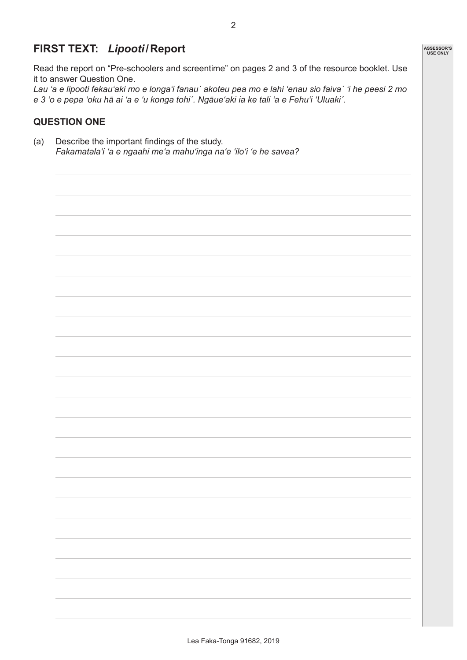## **FIRST TEXT:** *Lipooti***/Report**

Read the report on "Pre-schoolers and screentime" on pages 2 and 3 of the resource booklet. Use it to answer Question One.

*Lau 'a e lipooti fekau'aki mo e longa'i fanauˊ akoteu pea mo e lahi 'enau sio faivaˊ 'i he peesi 2 mo e 3 'o e pepa 'oku hā ai 'a e 'u konga tohiˊ. Ngāue'aki ia ke tali 'a e Fehu'i 'Uluakiˊ.*

#### **QUESTION ONE**

(a) Describe the important findings of the study. *Fakamatalaʻi 'a e ngaahi meʻa mahuʻinga naʻe 'iloʻi 'e he savea?* **ASSESSOR'S USE ONLY**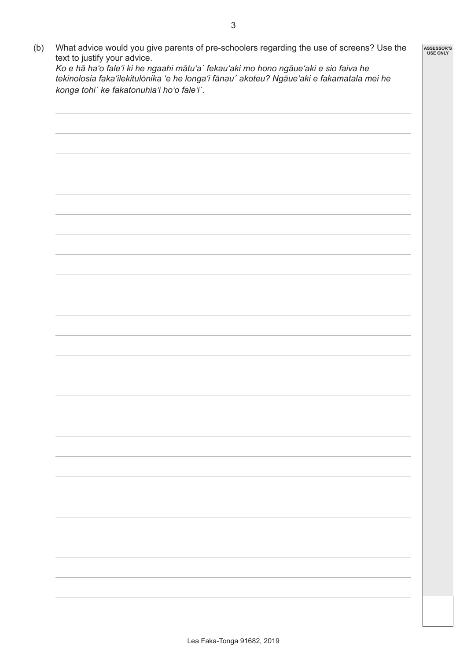(b) What advice would you give parents of pre-schoolers regarding the use of screens? Use the text to justify your advice. **ASSESSOR'S USE ONLY**

*Ko e hā ha'o fale'i ki he ngaahi mātu'aˊ fekauʻaki mo hono ngāueʻaki e sio faiva he tekinolosia fakaʻilekitulōnika 'e he longaʻi fānauˊ akoteu? Ngāueʻaki e fakamatala mei he konga tohiˊ ke fakatonuhiaʻi hoʻo faleʻiˊ.*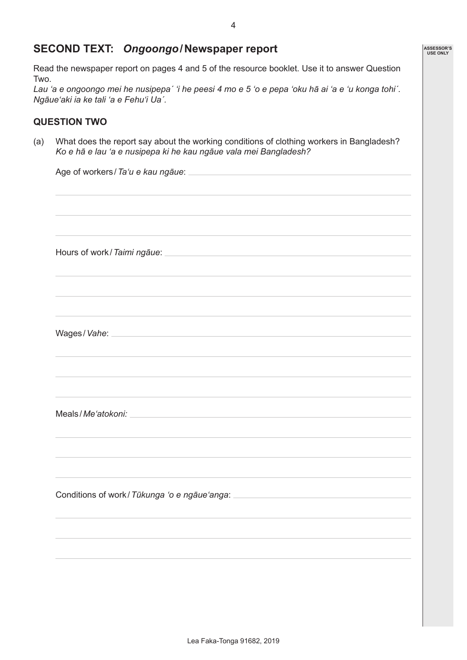#### **SECOND TEXT:** *Ongoongo***/Newspaper report**

Read the newspaper report on pages 4 and 5 of the resource booklet. Use it to answer Question Two.

*Lau 'a e ongoongo mei he nusipepaˊ 'i he peesi 4 mo e 5 'o e pepa 'oku hā ai 'a e 'u konga tohiˊ. Ngāueʻaki ia ke tali 'a e Fehuʻi Uaˊ.*

#### **QUESTION TWO**

(a) What does the report say about the working conditions of clothing workers in Bangladesh? *Ko e hā e lau 'a e nusipepa ki he kau ngāue vala mei Bangladesh?*

| Wages/Vahe: Note: Note: Note: Note: Note: Note: Note: Note: Note: Note: Note: Note: Note: Note: Note: Note: No |
|----------------------------------------------------------------------------------------------------------------|
|                                                                                                                |
| ,我们也不能会有什么。""我们的人,我们也不能会有什么?""我们的人,我们也不能会有什么?""我们的人,我们也不能会有什么?""我们的人,我们也不能会有什么?""                              |
|                                                                                                                |
|                                                                                                                |
|                                                                                                                |
|                                                                                                                |
|                                                                                                                |
|                                                                                                                |
|                                                                                                                |

**ASSESSOR'S USE ONLY**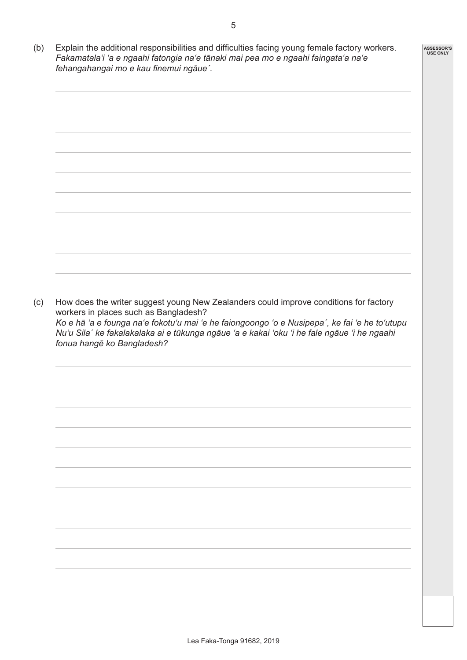- **ASSESSOR'S USE ONLY**
- (b) Explain the additional responsibilities and difficulties facing young female factory workers. *Fakamatalaʻi 'a e ngaahi fatongia naʻe tānaki mai pea mo e ngaahi faingataʻa naʻe fehangahangai mo e kau finemui ngāueˊ.*



(c) How does the writer suggest young New Zealanders could improve conditions for factory workers in places such as Bangladesh? *Ko e hā 'a e founga naʻe fokotuʻu mai 'e he faiongoongo 'o e Nusipepaˊ, ke fai 'e he toʻutupu Nuʻu Silaˊ ke fakalakalaka ai e tūkunga ngāue 'a e kakai 'oku 'i he fale ngāue 'i he ngaahi fonua hangē ko Bangladesh?*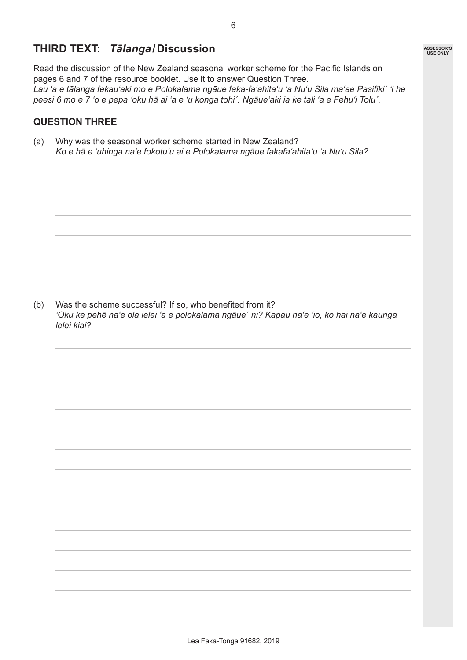### **THIRD TEXT:** *Tālanga***/Discussion**

Read the discussion of the New Zealand seasonal worker scheme for the Pacific Islands on pages 6 and 7 of the resource booklet. Use it to answer Question Three. *Lau 'a e tālanga fekau'aki mo e Polokalama ngāue faka-fa'ahita'u 'a Nu'u Sila ma'ae Pasifikiˊ 'i he peesi 6 mo e 7 'o e pepa 'oku hā ai 'a e 'u konga tohiˊ. Ngāue'aki ia ke tali 'a e Fehu'i Toluˊ.*

#### **QUESTION THREE**

(a) Why was the seasonal worker scheme started in New Zealand? *Ko e hā e ʻuhinga naʻe fokotuʻu ai e Polokalama ngāue fakafaʻahitaʻu 'a Nuʻu Sila?*

(b) Was the scheme successful? If so, who benefited from it? *'Oku ke pehē naʻe ola lelei 'a e polokalama ngāueˊ ni? Kapau naʻe 'io, ko hai naʻe kaunga lelei kiai?*

**ASSESSOR'S USE ONLY**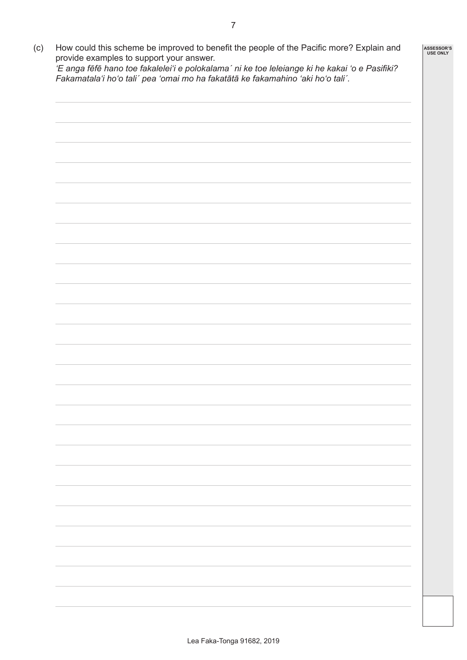(c) How could this scheme be improved to benefit the people of the Pacific more? Explain and

**ASSESSOR'S USE ONLY**

provide examples to support your answer. *'E anga fēfē hano toe fakaleleiʻi e polokalamaˊ ni ke toe leleiange ki he kakai 'o e Pasifiki? Fakamatalaʻi hoʻo taliˊ pea 'omai mo ha fakatātā ke fakamahino 'aki hoʻo taliˊ.*